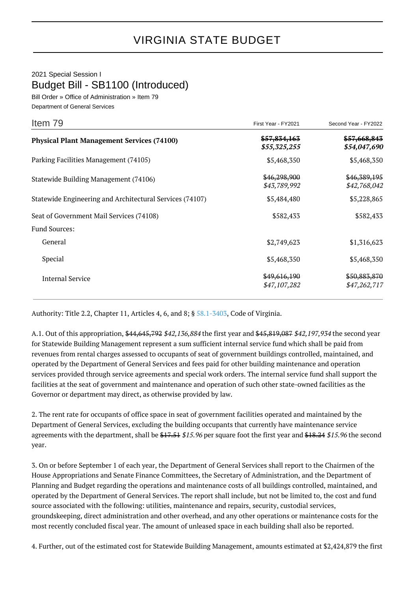## 2021 Special Session I Budget Bill - SB1100 (Introduced)

Bill Order » Office of Administration » Item 79 Department of General Services

| Item 79                                                  | First Year - FY2021                     | Second Year - FY2022                    |
|----------------------------------------------------------|-----------------------------------------|-----------------------------------------|
| <b>Physical Plant Management Services (74100)</b>        | <del>\$57,834,163</del><br>\$55,325,255 | <del>\$57,668,843</del><br>\$54,047,690 |
| Parking Facilities Management (74105)                    | \$5,468,350                             | \$5,468,350                             |
| Statewide Building Management (74106)                    | \$46,298,900<br>\$43,789,992            | \$46,389,195<br>\$42,768,042            |
| Statewide Engineering and Architectural Services (74107) | \$5,484,480                             | \$5,228,865                             |
| Seat of Government Mail Services (74108)                 | \$582,433                               | \$582,433                               |
| <b>Fund Sources:</b>                                     |                                         |                                         |
| General                                                  | \$2,749,623                             | \$1,316,623                             |
| Special                                                  | \$5,468,350                             | \$5,468,350                             |
| <b>Internal Service</b>                                  | \$49,616,190<br>\$47,107,282            | \$50,883,870<br>\$47,262,717            |

Authority: Title 2.2, Chapter 11, Articles 4, 6, and 8; § [58.1-3403](http://law.lis.virginia.gov/vacode/58.1-3403/), Code of Virginia.

A.1. Out of this appropriation, \$44,645,792 \$42,136,884 the first year and \$45,819,087 \$42,197,934 the second year for Statewide Building Management represent a sum sufficient internal service fund which shall be paid from revenues from rental charges assessed to occupants of seat of government buildings controlled, maintained, and operated by the Department of General Services and fees paid for other building maintenance and operation services provided through service agreements and special work orders. The internal service fund shall support the facilities at the seat of government and maintenance and operation of such other state-owned facilities as the Governor or department may direct, as otherwise provided by law.

2. The rent rate for occupants of office space in seat of government facilities operated and maintained by the Department of General Services, excluding the building occupants that currently have maintenance service agreements with the department, shall be \$17.51 \$15.96 per square foot the first year and \$18.24 \$15.96 the second year.

3. On or before September 1 of each year, the Department of General Services shall report to the Chairmen of the House Appropriations and Senate Finance Committees, the Secretary of Administration, and the Department of Planning and Budget regarding the operations and maintenance costs of all buildings controlled, maintained, and operated by the Department of General Services. The report shall include, but not be limited to, the cost and fund source associated with the following: utilities, maintenance and repairs, security, custodial services, groundskeeping, direct administration and other overhead, and any other operations or maintenance costs for the most recently concluded fiscal year. The amount of unleased space in each building shall also be reported.

4. Further, out of the estimated cost for Statewide Building Management, amounts estimated at \$2,424,879 the first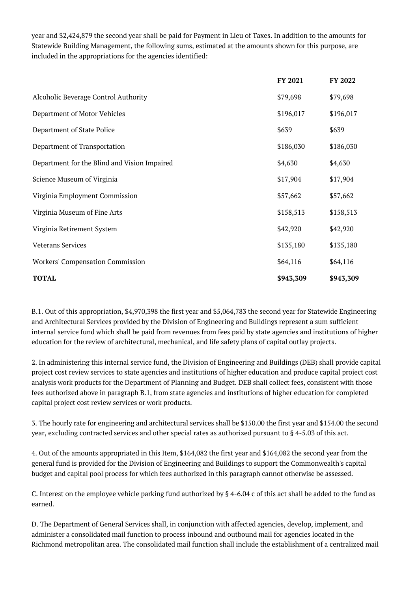year and \$2,424,879 the second year shall be paid for Payment in Lieu of Taxes. In addition to the amounts for Statewide Building Management, the following sums, estimated at the amounts shown for this purpose, are included in the appropriations for the agencies identified:

|                                              | FY 2021   | FY 2022   |
|----------------------------------------------|-----------|-----------|
| Alcoholic Beverage Control Authority         | \$79,698  | \$79,698  |
| Department of Motor Vehicles                 | \$196,017 | \$196,017 |
| Department of State Police                   | \$639     | \$639     |
| Department of Transportation                 | \$186,030 | \$186,030 |
| Department for the Blind and Vision Impaired | \$4,630   | \$4,630   |
| Science Museum of Virginia                   | \$17,904  | \$17,904  |
| Virginia Employment Commission               | \$57,662  | \$57,662  |
| Virginia Museum of Fine Arts                 | \$158,513 | \$158,513 |
| Virginia Retirement System                   | \$42,920  | \$42,920  |
| <b>Veterans Services</b>                     | \$135,180 | \$135,180 |
| <b>Workers' Compensation Commission</b>      | \$64,116  | \$64,116  |
| <b>TOTAL</b>                                 | \$943,309 | \$943,309 |

B.1. Out of this appropriation, \$4,970,398 the first year and \$5,064,783 the second year for Statewide Engineering and Architectural Services provided by the Division of Engineering and Buildings represent a sum sufficient internal service fund which shall be paid from revenues from fees paid by state agencies and institutions of higher education for the review of architectural, mechanical, and life safety plans of capital outlay projects.

2. In administering this internal service fund, the Division of Engineering and Buildings (DEB) shall provide capital project cost review services to state agencies and institutions of higher education and produce capital project cost analysis work products for the Department of Planning and Budget. DEB shall collect fees, consistent with those fees authorized above in paragraph B.1, from state agencies and institutions of higher education for completed capital project cost review services or work products.

3. The hourly rate for engineering and architectural services shall be \$150.00 the first year and \$154.00 the second year, excluding contracted services and other special rates as authorized pursuant to § 4-5.03 of this act.

4. Out of the amounts appropriated in this Item, \$164,082 the first year and \$164,082 the second year from the general fund is provided for the Division of Engineering and Buildings to support the Commonwealth's capital budget and capital pool process for which fees authorized in this paragraph cannot otherwise be assessed.

C. Interest on the employee vehicle parking fund authorized by § 4-6.04 c of this act shall be added to the fund as earned.

D. The Department of General Services shall, in conjunction with affected agencies, develop, implement, and administer a consolidated mail function to process inbound and outbound mail for agencies located in the Richmond metropolitan area. The consolidated mail function shall include the establishment of a centralized mail